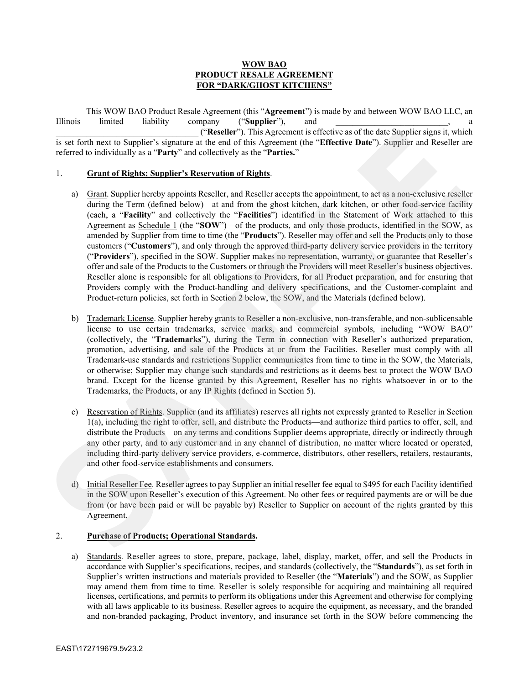# **WOW BAO PRODUCT RESALE AGREEMENT FOR "DARK/GHOST KITCHENS"**

This WOW BAO Product Resale Agreement (this "**Agreement**") is made by and between WOW BAO LLC, an Illinois limited liability company ("**Supplier**"), and \_\_\_\_\_\_\_\_\_\_\_\_\_\_\_\_\_\_\_\_\_\_\_\_\_\_\_\_\_\_\_\_\_ ("**Reseller**"). This Agreement is effective as of the date Supplier signs it, which is set forth next to Supplier's signature at the end of this Agreement (the "**Effective Date**"). Supplier and Reseller are referred to individually as a "**Party**" and collectively as the "**Parties.**"

# 1. **Grant of Rights; Supplier's Reservation of Rights**.

- a) Grant. Supplier hereby appoints Reseller, and Reseller accepts the appointment, to act as a non-exclusive reseller during the Term (defined below)—at and from the ghost kitchen, dark kitchen, or other food-service facility (each, a "**Facility**" and collectively the "**Facilities**") identified in the Statement of Work attached to this Agreement as Schedule 1 (the "**SOW**")—of the products, and only those products, identified in the SOW, as amended by Supplier from time to time (the "**Products**"). Reseller may offer and sell the Products only to those customers ("**Customers**"), and only through the approved third-party delivery service providers in the territory ("**Providers**"), specified in the SOW. Supplier makes no representation, warranty, or guarantee that Reseller's offer and sale of the Products to the Customers or through the Providers will meet Reseller's business objectives. Reseller alone is responsible for all obligations to Providers, for all Product preparation, and for ensuring that Providers comply with the Product-handling and delivery specifications, and the Customer-complaint and Product-return policies, set forth in Section 2 below, the SOW, and the Materials (defined below). Ethnical Innies (analytics) (Supplier) (Chapter). This Agreement is effective as of the date Supplier sign is which<br>is act footing the state of the state of the system and in our definite particle in the system of the syst
	- b) Trademark License. Supplier hereby grants to Reseller a non-exclusive, non-transferable, and non-sublicensable license to use certain trademarks, service marks, and commercial symbols, including "WOW BAO" (collectively, the "**Trademarks**"), during the Term in connection with Reseller's authorized preparation, promotion, advertising, and sale of the Products at or from the Facilities. Reseller must comply with all Trademark-use standards and restrictions Supplier communicates from time to time in the SOW, the Materials, or otherwise; Supplier may change such standards and restrictions as it deems best to protect the WOW BAO brand. Except for the license granted by this Agreement, Reseller has no rights whatsoever in or to the Trademarks, the Products, or any IP Rights (defined in Section 5).
	- c) Reservation of Rights. Supplier (and its affiliates) reserves all rights not expressly granted to Reseller in Section 1(a), including the right to offer, sell, and distribute the Products—and authorize third parties to offer, sell, and distribute the Products—on any terms and conditions Supplier deems appropriate, directly or indirectly through any other party, and to any customer and in any channel of distribution, no matter where located or operated, including third-party delivery service providers, e-commerce, distributors, other resellers, retailers, restaurants, and other food-service establishments and consumers.
	- d) Initial Reseller Fee. Reseller agrees to pay Supplier an initial reseller fee equal to \$495 for each Facility identified in the SOW upon Reseller's execution of this Agreement. No other fees or required payments are or will be due from (or have been paid or will be payable by) Reseller to Supplier on account of the rights granted by this Agreement.

# 2. **Purchase of Products; Operational Standards.**

a) Standards. Reseller agrees to store, prepare, package, label, display, market, offer, and sell the Products in accordance with Supplier's specifications, recipes, and standards (collectively, the "**Standards**"), as set forth in Supplier's written instructions and materials provided to Reseller (the "**Materials**") and the SOW, as Supplier may amend them from time to time. Reseller is solely responsible for acquiring and maintaining all required licenses, certifications, and permits to perform its obligations under this Agreement and otherwise for complying with all laws applicable to its business. Reseller agrees to acquire the equipment, as necessary, and the branded and non-branded packaging, Product inventory, and insurance set forth in the SOW before commencing the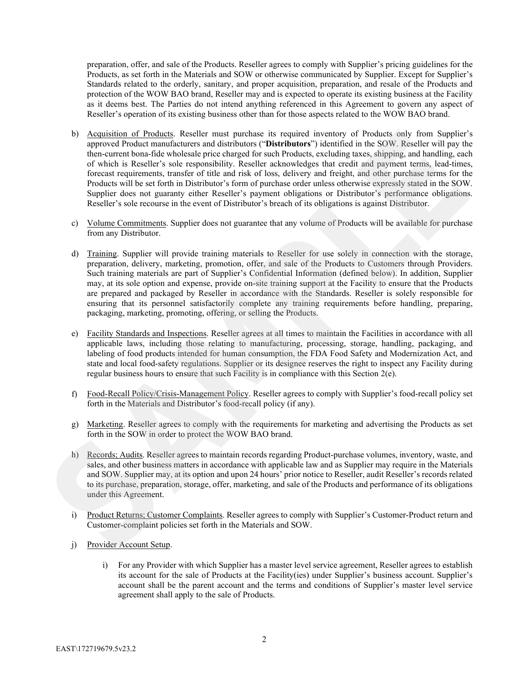preparation, offer, and sale of the Products. Reseller agrees to comply with Supplier's pricing guidelines for the Products, as set forth in the Materials and SOW or otherwise communicated by Supplier. Except for Supplier's Standards related to the orderly, sanitary, and proper acquisition, preparation, and resale of the Products and protection of the WOW BAO brand, Reseller may and is expected to operate its existing business at the Facility as it deems best. The Parties do not intend anything referenced in this Agreement to govern any aspect of Reseller's operation of its existing business other than for those aspects related to the WOW BAO brand.

- b) Acquisition of Products. Reseller must purchase its required inventory of Products only from Supplier's approved Product manufacturers and distributors ("**Distributors**") identified in the SOW. Reseller will pay the then-current bona-fide wholesale price charged for such Products, excluding taxes, shipping, and handling, each of which is Reseller's sole responsibility. Reseller acknowledges that credit and payment terms, lead-times, forecast requirements, transfer of title and risk of loss, delivery and freight, and other purchase terms for the Products will be set forth in Distributor's form of purchase order unless otherwise expressly stated in the SOW. Supplier does not guaranty either Reseller's payment obligations or Distributor's performance obligations. Reseller's sole recourse in the event of Distributor's breach of its obligations is against Distributor. 10) Acquisition of Punkests. Resolve must purchase is required inventory of Punkests suby from Supplice's<br>approach Product manufactures and distribution CP Distribution (10) of Such and 10 (80) W. Resolve in the Substituti
	- c) Volume Commitments. Supplier does not guarantee that any volume of Products will be available for purchase from any Distributor.
	- d) Training. Supplier will provide training materials to Reseller for use solely in connection with the storage, preparation, delivery, marketing, promotion, offer, and sale of the Products to Customers through Providers. Such training materials are part of Supplier's Confidential Information (defined below). In addition, Supplier may, at its sole option and expense, provide on-site training support at the Facility to ensure that the Products are prepared and packaged by Reseller in accordance with the Standards. Reseller is solely responsible for ensuring that its personnel satisfactorily complete any training requirements before handling, preparing, packaging, marketing, promoting, offering, or selling the Products.
	- e) Facility Standards and Inspections. Reseller agrees at all times to maintain the Facilities in accordance with all applicable laws, including those relating to manufacturing, processing, storage, handling, packaging, and labeling of food products intended for human consumption, the FDA Food Safety and Modernization Act, and state and local food-safety regulations. Supplier or its designee reserves the right to inspect any Facility during regular business hours to ensure that such Facility is in compliance with this Section 2(e).
	- f) Food-Recall Policy/Crisis-Management Policy. Reseller agrees to comply with Supplier's food-recall policy set forth in the Materials and Distributor's food-recall policy (if any).
	- g) Marketing. Reseller agrees to comply with the requirements for marketing and advertising the Products as set forth in the SOW in order to protect the WOW BAO brand.
	- h) Records; Audits. Reseller agrees to maintain records regarding Product-purchase volumes, inventory, waste, and sales, and other business matters in accordance with applicable law and as Supplier may require in the Materials and SOW. Supplier may, at its option and upon 24 hours' prior notice to Reseller, audit Reseller's records related to its purchase, preparation, storage, offer, marketing, and sale of the Products and performance of its obligations under this Agreement.
	- i) Product Returns; Customer Complaints. Reseller agrees to comply with Supplier's Customer-Product return and Customer-complaint policies set forth in the Materials and SOW.
	- j) Provider Account Setup.
		- i) For any Provider with which Supplier has a master level service agreement, Reseller agrees to establish its account for the sale of Products at the Facility(ies) under Supplier's business account. Supplier's account shall be the parent account and the terms and conditions of Supplier's master level service agreement shall apply to the sale of Products.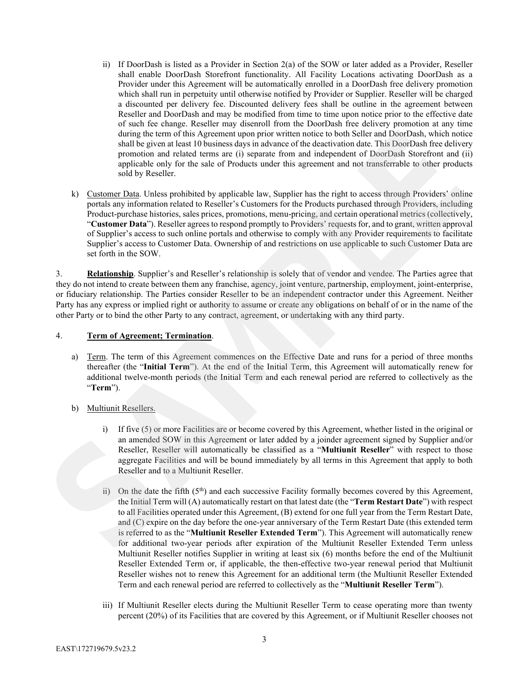- ii) If DoorDash is listed as a Provider in Section 2(a) of the SOW or later added as a Provider, Reseller shall enable DoorDash Storefront functionality. All Facility Locations activating DoorDash as a Provider under this Agreement will be automatically enrolled in a DoorDash free delivery promotion which shall run in perpetuity until otherwise notified by Provider or Supplier. Reseller will be charged a discounted per delivery fee. Discounted delivery fees shall be outline in the agreement between Reseller and DoorDash and may be modified from time to time upon notice prior to the effective date of such fee change. Reseller may disenroll from the DoorDash free delivery promotion at any time during the term of this Agreement upon prior written notice to both Seller and DoorDash, which notice shall be given at least 10 business days in advance of the deactivation date. This DoorDash free delivery promotion and related terms are (i) separate from and independent of DoorDash Storefront and (ii) applicable only for the sale of Products under this agreement and not transferrable to other products sold by Reseller.
- k) Customer Data. Unless prohibited by applicable law, Supplier has the right to access through Providers' online portals any information related to Reseller's Customers for the Products purchased through Providers, including Product-purchase histories, sales prices, promotions, menu-pricing, and certain operational metrics (collectively, "**Customer Data**"). Reseller agrees to respond promptly to Providers' requests for, and to grant, written approval of Supplier's access to such online portals and otherwise to comply with any Provider requirements to facilitate Supplier's access to Customer Data. Ownership of and restrictions on use applicable to such Customer Data are set forth in the SOW. of sole than the change. Readler may shownall from the DaveDab from delivery promotion at any time<br>during the kempediato space of the system of the Markov and The Book of the SM (Since and The SM (Since 2010) and the produ

3. **Relationship**. Supplier's and Reseller's relationship is solely that of vendor and vendee. The Parties agree that they do not intend to create between them any franchise, agency, joint venture, partnership, employment, joint-enterprise, or fiduciary relationship. The Parties consider Reseller to be an independent contractor under this Agreement. Neither Party has any express or implied right or authority to assume or create any obligations on behalf of or in the name of the other Party or to bind the other Party to any contract, agreement, or undertaking with any third party.

### 4. **Term of Agreement; Termination**.

- a) Term. The term of this Agreement commences on the Effective Date and runs for a period of three months thereafter (the "**Initial Term**"). At the end of the Initial Term, this Agreement will automatically renew for additional twelve-month periods (the Initial Term and each renewal period are referred to collectively as the "**Term**").
- b) Multiunit Resellers.
	- i) If five (5) or more Facilities are or become covered by this Agreement, whether listed in the original or an amended SOW in this Agreement or later added by a joinder agreement signed by Supplier and/or Reseller, Reseller will automatically be classified as a "**Multiunit Reseller**" with respect to those aggregate Facilities and will be bound immediately by all terms in this Agreement that apply to both Reseller and to a Multiunit Reseller.
	- ii) On the date the fifth  $(5<sup>th</sup>)$  and each successive Facility formally becomes covered by this Agreement, the Initial Term will (A) automatically restart on that latest date (the "**Term Restart Date**") with respect to all Facilities operated under this Agreement, (B) extend for one full year from the Term Restart Date, and (C) expire on the day before the one-year anniversary of the Term Restart Date (this extended term is referred to as the "**Multiunit Reseller Extended Term**"). This Agreement will automatically renew for additional two-year periods after expiration of the Multiunit Reseller Extended Term unless Multiunit Reseller notifies Supplier in writing at least six (6) months before the end of the Multiunit Reseller Extended Term or, if applicable, the then-effective two-year renewal period that Multiunit Reseller wishes not to renew this Agreement for an additional term (the Multiunit Reseller Extended Term and each renewal period are referred to collectively as the "**Multiunit Reseller Term**").
	- iii) If Multiunit Reseller elects during the Multiunit Reseller Term to cease operating more than twenty percent (20%) of its Facilities that are covered by this Agreement, or if Multiunit Reseller chooses not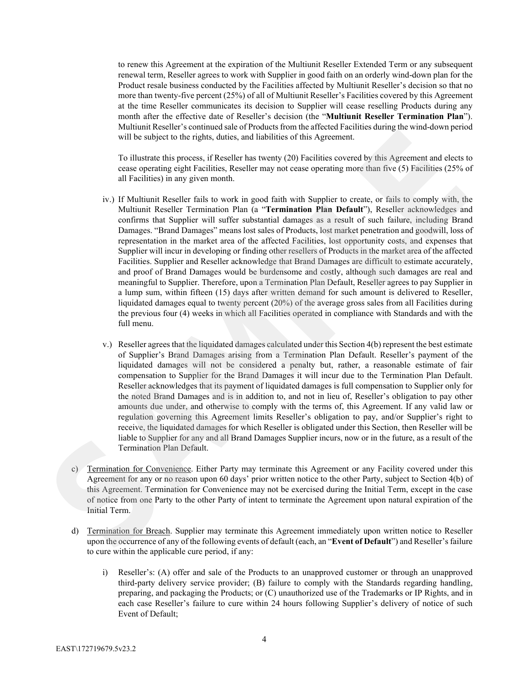to renew this Agreement at the expiration of the Multiunit Reseller Extended Term or any subsequent renewal term, Reseller agrees to work with Supplier in good faith on an orderly wind-down plan for the Product resale business conducted by the Facilities affected by Multiunit Reseller's decision so that no more than twenty-five percent (25%) of all of Multiunit Reseller's Facilities covered by this Agreement at the time Reseller communicates its decision to Supplier will cease reselling Products during any month after the effective date of Reseller's decision (the "**Multiunit Reseller Termination Plan**"). Multiunit Reseller's continued sale of Products from the affected Facilities during the wind-down period will be subject to the rights, duties, and liabilities of this Agreement.

To illustrate this process, if Reseller has twenty (20) Facilities covered by this Agreement and elects to cease operating eight Facilities, Reseller may not cease operating more than five (5) Facilities (25% of all Facilities) in any given month.

- iv.) If Multiunit Reseller fails to work in good faith with Supplier to create, or fails to comply with, the Multiunit Reseller Termination Plan (a "**Termination Plan Default**"), Reseller acknowledges and confirms that Supplier will suffer substantial damages as a result of such failure, including Brand Damages. "Brand Damages" means lost sales of Products, lost market penetration and goodwill, loss of representation in the market area of the affected Facilities, lost opportunity costs, and expenses that Supplier will incur in developing or finding other resellers of Products in the market area of the affected Facilities. Supplier and Reseller acknowledge that Brand Damages are difficult to estimate accurately, and proof of Brand Damages would be burdensome and costly, although such damages are real and meaningful to Supplier. Therefore, upon a Termination Plan Default, Reseller agrees to pay Supplier in a lump sum, within fifteen (15) days after written demand for such amount is delivered to Reseller, liquidated damages equal to twenty percent (20%) of the average gross sales from all Facilities during the previous four (4) weeks in which all Facilities operated in compliance with Standards and with the full menu. Multinia Reselect is consinued also of Products from the affected fredinteins during the wind-down period<br>will be subject to the rights, during, all individue of this Agreenent.<br>
To illustriate this process, if Resulter h
	- v.) Reseller agrees that the liquidated damages calculated under this Section 4(b) represent the best estimate of Supplier's Brand Damages arising from a Termination Plan Default. Reseller's payment of the liquidated damages will not be considered a penalty but, rather, a reasonable estimate of fair compensation to Supplier for the Brand Damages it will incur due to the Termination Plan Default. Reseller acknowledges that its payment of liquidated damages is full compensation to Supplier only for the noted Brand Damages and is in addition to, and not in lieu of, Reseller's obligation to pay other amounts due under, and otherwise to comply with the terms of, this Agreement. If any valid law or regulation governing this Agreement limits Reseller's obligation to pay, and/or Supplier's right to receive, the liquidated damages for which Reseller is obligated under this Section, then Reseller will be liable to Supplier for any and all Brand Damages Supplier incurs, now or in the future, as a result of the Termination Plan Default.
	- c) Termination for Convenience. Either Party may terminate this Agreement or any Facility covered under this Agreement for any or no reason upon 60 days' prior written notice to the other Party, subject to Section 4(b) of this Agreement. Termination for Convenience may not be exercised during the Initial Term, except in the case of notice from one Party to the other Party of intent to terminate the Agreement upon natural expiration of the Initial Term.
	- d) Termination for Breach. Supplier may terminate this Agreement immediately upon written notice to Reseller upon the occurrence of any of the following events of default (each, an "**Event of Default**") and Reseller's failure to cure within the applicable cure period, if any:
		- i) Reseller's: (A) offer and sale of the Products to an unapproved customer or through an unapproved third-party delivery service provider; (B) failure to comply with the Standards regarding handling, preparing, and packaging the Products; or (C) unauthorized use of the Trademarks or IP Rights, and in each case Reseller's failure to cure within 24 hours following Supplier's delivery of notice of such Event of Default;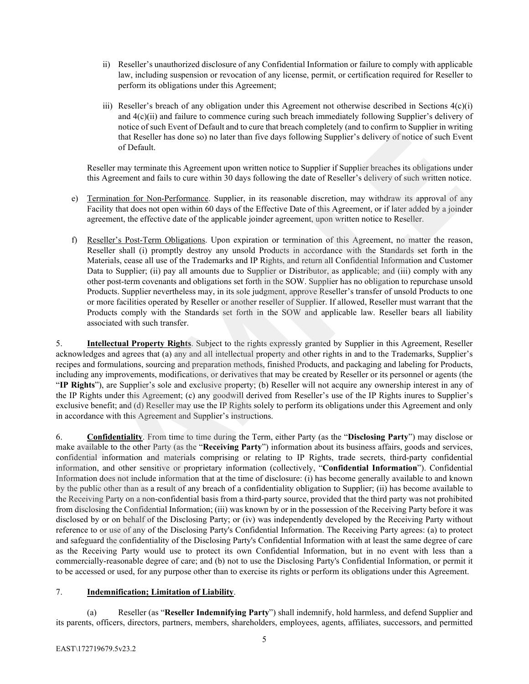- ii) Reseller's unauthorized disclosure of any Confidential Information or failure to comply with applicable law, including suspension or revocation of any license, permit, or certification required for Reseller to perform its obligations under this Agreement;
- iii) Reseller's breach of any obligation under this Agreement not otherwise described in Sections 4(c)(i) and 4(c)(ii) and failure to commence curing such breach immediately following Supplier's delivery of notice of such Event of Default and to cure that breach completely (and to confirm to Supplier in writing that Reseller has done so) no later than five days following Supplier's delivery of notice of such Event of Default.

Reseller may terminate this Agreement upon written notice to Supplier if Supplier breaches its obligations under this Agreement and fails to cure within 30 days following the date of Reseller's delivery of such written notice.

- e) Termination for Non-Performance. Supplier, in its reasonable discretion, may withdraw its approval of any Facility that does not open within 60 days of the Effective Date of this Agreement, or if later added by a joinder agreement, the effective date of the applicable joinder agreement, upon written notice to Reseller.
- f) Reseller's Post-Term Obligations. Upon expiration or termination of this Agreement, no matter the reason, Reseller shall (i) promptly destroy any unsold Products in accordance with the Standards set forth in the Materials, cease all use of the Trademarks and IP Rights, and return all Confidential Information and Customer Data to Supplier; (ii) pay all amounts due to Supplier or Distributor, as applicable; and (iii) comply with any other post-term covenants and obligations set forth in the SOW. Supplier has no obligation to repurchase unsold Products. Supplier nevertheless may, in its sole judgment, approve Reseller's transfer of unsold Products to one or more facilities operated by Reseller or another reseller of Supplier. If allowed, Reseller must warrant that the Products comply with the Standards set forth in the SOW and applicable law. Reseller bears all liability associated with such transfer.

5. **Intellectual Property Rights**. Subject to the rights expressly granted by Supplier in this Agreement, Reseller acknowledges and agrees that (a) any and all intellectual property and other rights in and to the Trademarks, Supplier's recipes and formulations, sourcing and preparation methods, finished Products, and packaging and labeling for Products, including any improvements, modifications, or derivatives that may be created by Reseller or its personnel or agents (the "**IP Rights**"), are Supplier's sole and exclusive property; (b) Reseller will not acquire any ownership interest in any of the IP Rights under this Agreement; (c) any goodwill derived from Reseller's use of the IP Rights inures to Supplier's exclusive benefit; and (d) Reseller may use the IP Rights solely to perform its obligations under this Agreement and only in accordance with this Agreement and Supplier's instructions.

6. **Confidentiality**. From time to time during the Term, either Party (as the "**Disclosing Party**") may disclose or make available to the other Party (as the "**Receiving Party**") information about its business affairs, goods and services, confidential information and materials comprising or relating to IP Rights, trade secrets, third-party confidential information, and other sensitive or proprietary information (collectively, "**Confidential Information**"). Confidential Information does not include information that at the time of disclosure: (i) has become generally available to and known by the public other than as a result of any breach of a confidentiality obligation to Supplier; (ii) has become available to the Receiving Party on a non-confidential basis from a third-party source, provided that the third party was not prohibited from disclosing the Confidential Information; (iii) was known by or in the possession of the Receiving Party before it was disclosed by or on behalf of the Disclosing Party; or (iv) was independently developed by the Receiving Party without reference to or use of any of the Disclosing Party's Confidential Information. The Receiving Party agrees: (a) to protect and safeguard the confidentiality of the Disclosing Party's Confidential Information with at least the same degree of care as the Receiving Party would use to protect its own Confidential Information, but in no event with less than a commercially-reasonable degree of care; and (b) not to use the Disclosing Party's Confidential Information, or permit it to be accessed or used, for any purpose other than to exercise its rights or perform its obligations under this Agreement. notice of stoch broad to control and to court shores considered (and to compete in writing<br>notice of stoch broad to control and the stoch competent of the control and the stochastic state in the stochastic state of DeFault

# 7. **Indemnification; Limitation of Liability**.

(a) Reseller (as "**Reseller Indemnifying Party**") shall indemnify, hold harmless, and defend Supplier and its parents, officers, directors, partners, members, shareholders, employees, agents, affiliates, successors, and permitted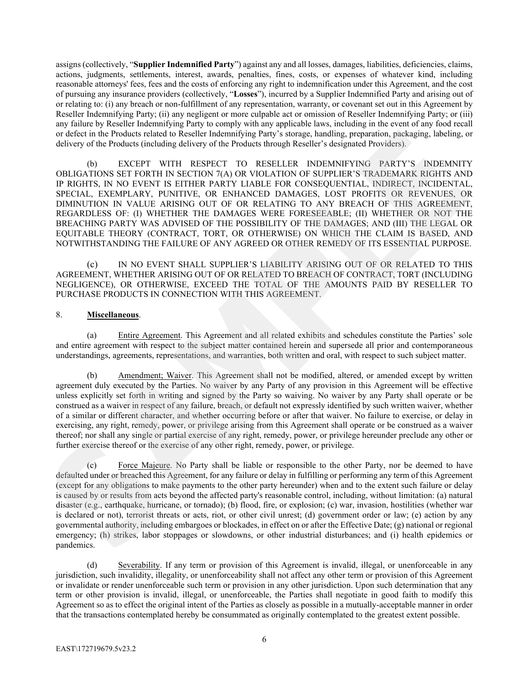assigns (collectively, "**Supplier Indemnified Party**") against any and all losses, damages, liabilities, deficiencies, claims, actions, judgments, settlements, interest, awards, penalties, fines, costs, or expenses of whatever kind, including reasonable attorneys' fees, fees and the costs of enforcing any right to indemnification under this Agreement, and the cost of pursuing any insurance providers (collectively, "**Losses**"), incurred by a Supplier Indemnified Party and arising out of or relating to: (i) any breach or non-fulfillment of any representation, warranty, or covenant set out in this Agreement by Reseller Indemnifying Party; (ii) any negligent or more culpable act or omission of Reseller Indemnifying Party; or (iii) any failure by Reseller Indemnifying Party to comply with any applicable laws, including in the event of any food recall or defect in the Products related to Reseller Indemnifying Party's storage, handling, preparation, packaging, labeling, or delivery of the Products (including delivery of the Products through Reseller's designated Providers).

(b) EXCEPT WITH RESPECT TO RESELLER INDEMNIFYING PARTY'S INDEMNITY OBLIGATIONS SET FORTH IN SECTION 7(A) OR VIOLATION OF SUPPLIER'S TRADEMARK RIGHTS AND IP RIGHTS, IN NO EVENT IS EITHER PARTY LIABLE FOR CONSEQUENTIAL, INDIRECT, INCIDENTAL, SPECIAL, EXEMPLARY, PUNITIVE, OR ENHANCED DAMAGES, LOST PROFITS OR REVENUES, OR DIMINUTION IN VALUE ARISING OUT OF OR RELATING TO ANY BREACH OF THIS AGREEMENT, REGARDLESS OF: (I) WHETHER THE DAMAGES WERE FORESEEABLE; (II) WHETHER OR NOT THE BREACHING PARTY WAS ADVISED OF THE POSSIBILITY OF THE DAMAGES; AND (III) THE LEGAL OR EQUITABLE THEORY (CONTRACT, TORT, OR OTHERWISE) ON WHICH THE CLAIM IS BASED, AND NOTWITHSTANDING THE FAILURE OF ANY AGREED OR OTHER REMEDY OF ITS ESSENTIAL PURPOSE.

(c) IN NO EVENT SHALL SUPPLIER'S LIABILITY ARISING OUT OF OR RELATED TO THIS AGREEMENT, WHETHER ARISING OUT OF OR RELATED TO BREACH OF CONTRACT, TORT (INCLUDING NEGLIGENCE), OR OTHERWISE, EXCEED THE TOTAL OF THE AMOUNTS PAID BY RESELLER TO PURCHASE PRODUCTS IN CONNECTION WITH THIS AGREEMENT.

## 8. **Miscellaneous**.

(a) Entire Agreement. This Agreement and all related exhibits and schedules constitute the Parties' sole and entire agreement with respect to the subject matter contained herein and supersede all prior and contemporaneous understandings, agreements, representations, and warranties, both written and oral, with respect to such subject matter.

(b) Amendment; Waiver. This Agreement shall not be modified, altered, or amended except by written agreement duly executed by the Parties. No waiver by any Party of any provision in this Agreement will be effective unless explicitly set forth in writing and signed by the Party so waiving. No waiver by any Party shall operate or be construed as a waiver in respect of any failure, breach, or default not expressly identified by such written waiver, whether of a similar or different character, and whether occurring before or after that waiver. No failure to exercise, or delay in exercising, any right, remedy, power, or privilege arising from this Agreement shall operate or be construed as a waiver thereof; nor shall any single or partial exercise of any right, remedy, power, or privilege hereunder preclude any other or further exercise thereof or the exercise of any other right, remedy, power, or privilege.

(c) Force Majeure. No Party shall be liable or responsible to the other Party, nor be deemed to have defaulted under or breached this Agreement, for any failure or delay in fulfilling or performing any term of this Agreement (except for any obligations to make payments to the other party hereunder) when and to the extent such failure or delay is caused by or results from acts beyond the affected party's reasonable control, including, without limitation: (a) natural disaster (e.g., earthquake, hurricane, or tornado); (b) flood, fire, or explosion; (c) war, invasion, hostilities (whether war is declared or not), terrorist threats or acts, riot, or other civil unrest; (d) government order or law; (e) action by any governmental authority, including embargoes or blockades, in effect on or after the Effective Date; (g) national or regional emergency; (h) strikes, labor stoppages or slowdowns, or other industrial disturbances; and (i) health epidemics or pandemics. any follow by Roeller Indonesia's provide to the samply side may oppilable look, including in the cost of any distinguish of the same and the same of the same of the same of the same of the same of the SAMPLE CHARACT (b) E

(d) Severability. If any term or provision of this Agreement is invalid, illegal, or unenforceable in any jurisdiction, such invalidity, illegality, or unenforceability shall not affect any other term or provision of this Agreement or invalidate or render unenforceable such term or provision in any other jurisdiction. Upon such determination that any term or other provision is invalid, illegal, or unenforceable, the Parties shall negotiate in good faith to modify this Agreement so as to effect the original intent of the Parties as closely as possible in a mutually-acceptable manner in order that the transactions contemplated hereby be consummated as originally contemplated to the greatest extent possible.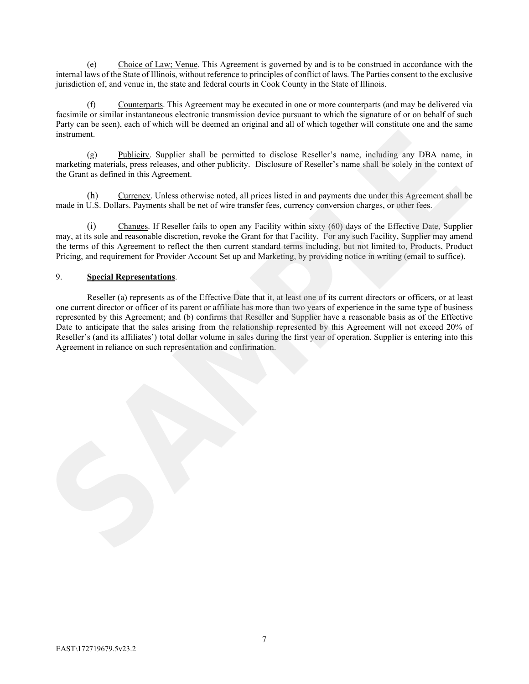(e) Choice of Law; Venue. This Agreement is governed by and is to be construed in accordance with the internal laws of the State of Illinois, without reference to principles of conflict of laws. The Parties consent to the exclusive jurisdiction of, and venue in, the state and federal courts in Cook County in the State of Illinois.

Counterparts. This Agreement may be executed in one or more counterparts (and may be delivered via facsimile or similar instantaneous electronic transmission device pursuant to which the signature of or on behalf of such Party can be seen), each of which will be deemed an original and all of which together will constitute one and the same instrument.

(g) Publicity. Supplier shall be permitted to disclose Reseller's name, including any DBA name, in marketing materials, press releases, and other publicity. Disclosure of Reseller's name shall be solely in the context of the Grant as defined in this Agreement.

(h) Currency. Unless otherwise noted, all prices listed in and payments due under this Agreement shall be made in U.S. Dollars. Payments shall be net of wire transfer fees, currency conversion charges, or other fees.

(i) Changes. If Reseller fails to open any Facility within sixty (60) days of the Effective Date, Supplier may, at its sole and reasonable discretion, revoke the Grant for that Facility. For any such Facility, Supplier may amend the terms of this Agreement to reflect the then current standard terms including, but not limited to, Products, Product Pricing, and requirement for Provider Account Set up and Marketing, by providing notice in writing (email to suffice).

# 9. **Special Representations**.

Reseller (a) represents as of the Effective Date that it, at least one of its current directors or officers, or at least one current director or officer of its parent or affiliate has more than two years of experience in the same type of business represented by this Agreement; and (b) confirms that Reseller and Supplier have a reasonable basis as of the Effective Date to anticipate that the sales arising from the relationship represented by this Agreement will not exceed 20% of Reseller's (and its affiliates') total dollar volume in sales during the first year of operation. Supplier is entering into this Agreement in reliance on such representation and confirmation. Farty can be each), each of which will be decomed an original and all of which together will constitute one and the same<br>
interference (g) Publishly. Surplier shall be permitted to disclose Reseller's name, including any D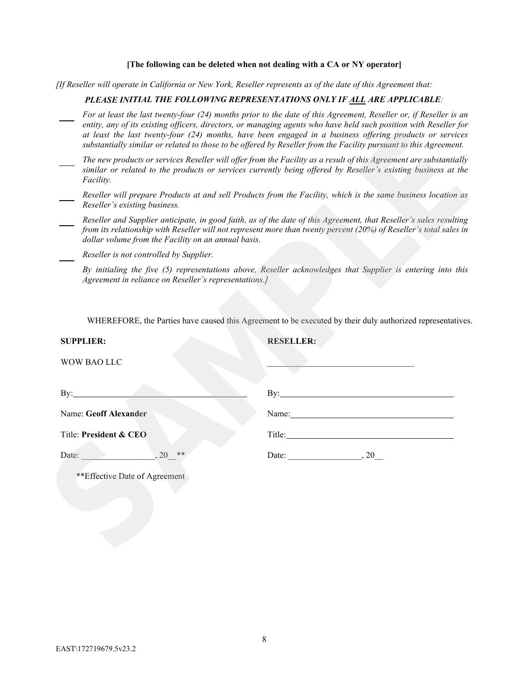### **[The following can be deleted when not dealing with a CA or NY operator]**

*[If Reseller will operate in California or New York, Reseller represents as of the date of this Agreement that:*

## *PLEASE INITIAL THE FOLLOWING REPRESENTATIONS ONLY IF ALL ARE APPLICABLE:*

- *For at least the last twenty-four (24) months prior to the date of this Agreement, Reseller or, if Reseller is an entity, any of its existing officers, directors, or managing agents who have held such position with Reseller for at least the last twenty-four (24) months, have been engaged in a business offering products or services substantially similar or related to those to be offered by Reseller from the Facility pursuant to this Agreement.*
- *The new products or services Reseller will offer from the Facility as a result of this Agreement are substantially similar or related to the products or services currently being offered by Reseller's existing business at the Facility.* 
	- *Reseller will prepare Products at and sell Products from the Facility, which is the same business location as Reseller's existing business.*
- *Reseller and Supplier anticipate, in good faith, as of the date of this Agreement, that Reseller's sales resulting from its relationship with Reseller will not represent more than twenty percent (20%) of Reseller's total sales in dollar volume from the Facility on an annual basis.*
- *Reseller is not controlled by Supplier.*
	- *By initialing the five (5) representations above, Reseller acknowledges that Supplier is entering into this Agreement in reliance on Reseller's representations.]*

|                                                       | entity, any of its existing officers, directors, or managing agents who have held such position with Reseller for<br>at least the last twenty-four (24) months, have been engaged in a business offering products or services<br>substantially similar or related to those to be offered by Reseller from the Facility pursuant to this Agreement. |
|-------------------------------------------------------|----------------------------------------------------------------------------------------------------------------------------------------------------------------------------------------------------------------------------------------------------------------------------------------------------------------------------------------------------|
| Facility.                                             | The new products or services Reseller will offer from the Facility as a result of this Agreement are substantially<br>similar or related to the products or services currently being offered by Reseller's existing business at the                                                                                                                |
| Reseller's existing business.                         | Reseller will prepare Products at and sell Products from the Facility, which is the same business location as                                                                                                                                                                                                                                      |
| dollar volume from the Facility on an annual basis.   | Reseller and Supplier anticipate, in good faith, as of the date of this Agreement, that Reseller's sales resulting<br>from its relationship with Reseller will not represent more than twenty percent (20%) of Reseller's total sales in                                                                                                           |
| Reseller is not controlled by Supplier.               |                                                                                                                                                                                                                                                                                                                                                    |
| Agreement in reliance on Reseller's representations.] | By initialing the five (5) representations above, Reseller acknowledges that Supplier is entering into this                                                                                                                                                                                                                                        |
| <b>SUPPLIER:</b>                                      | WHEREFORE, the Parties have caused this Agreement to be executed by their duly authorized representatives.<br><b>RESELLER:</b>                                                                                                                                                                                                                     |
| WOW BAO LLC                                           |                                                                                                                                                                                                                                                                                                                                                    |
| By:                                                   | By:                                                                                                                                                                                                                                                                                                                                                |
| Name: Geoff Alexander                                 | Name:                                                                                                                                                                                                                                                                                                                                              |
| Title: President & CEO                                |                                                                                                                                                                                                                                                                                                                                                    |
| Date:<br>20<br>$**$                                   | Date: $\qquad \qquad .20$                                                                                                                                                                                                                                                                                                                          |
| ** Effective Date of Agreement                        |                                                                                                                                                                                                                                                                                                                                                    |
|                                                       |                                                                                                                                                                                                                                                                                                                                                    |
|                                                       |                                                                                                                                                                                                                                                                                                                                                    |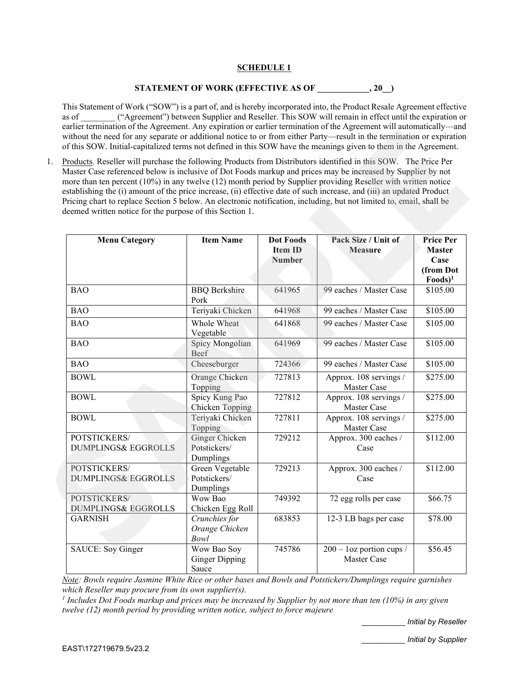# **SCHEDULE 1**

# **STATEMENT OF WORK (EFFECTIVE AS OF \_\_\_\_\_\_\_\_\_\_\_\_, 20\_\_)**

This Statement of Work ("SOW") is a part of, and is hereby incorporated into, the Product Resale Agreement effective as of  $($ "Agreement") between Supplier and Reseller. This SOW will remain in effect until the expiration or earlier termination of the Agreement. Any expiration or earlier termination of the Agreement will automatically—and without the need for any separate or additional notice to or from either Party—result in the termination or expiration of this SOW. Initial-capitalized terms not defined in this SOW have the meanings given to them in the Agreement.

| Products. Reseller will purchase the following Products from Distributors identified in this SOW. The Price Per<br>Master Case referenced below is inclusive of Dot Foods markup and prices may be increased by Supplier by not<br>more than ten percent (10%) in any twelve (12) month period by Supplier providing Reseller with written notice<br>establishing the (i) amount of the price increase, (ii) effective date of such increase, and (iii) an updated Product<br>Pricing chart to replace Section 5 below. An electronic notification, including, but not limited to, email, shall be<br>deemed written notice for the purpose of this Section 1. |                                               |                                                     |                                            |                                                                      |
|----------------------------------------------------------------------------------------------------------------------------------------------------------------------------------------------------------------------------------------------------------------------------------------------------------------------------------------------------------------------------------------------------------------------------------------------------------------------------------------------------------------------------------------------------------------------------------------------------------------------------------------------------------------|-----------------------------------------------|-----------------------------------------------------|--------------------------------------------|----------------------------------------------------------------------|
| <b>Menu Category</b>                                                                                                                                                                                                                                                                                                                                                                                                                                                                                                                                                                                                                                           | <b>Item Name</b>                              | <b>Dot Foods</b><br><b>Item ID</b><br><b>Number</b> | Pack Size / Unit of<br><b>Measure</b>      | <b>Price Per</b><br><b>Master</b><br>Case<br>(from Dot<br>$Foods)^1$ |
| <b>BAO</b>                                                                                                                                                                                                                                                                                                                                                                                                                                                                                                                                                                                                                                                     | <b>BBQ</b> Berkshire<br>Pork                  | 641965                                              | 99 eaches / Master Case                    | \$105.00                                                             |
| <b>BAO</b>                                                                                                                                                                                                                                                                                                                                                                                                                                                                                                                                                                                                                                                     | Teriyaki Chicken                              | 641968                                              | 99 eaches / Master Case                    | \$105.00                                                             |
| <b>BAO</b>                                                                                                                                                                                                                                                                                                                                                                                                                                                                                                                                                                                                                                                     | Whole Wheat<br>Vegetable                      | 641868                                              | 99 eaches / Master Case                    | \$105.00                                                             |
| <b>BAO</b>                                                                                                                                                                                                                                                                                                                                                                                                                                                                                                                                                                                                                                                     | Spicy Mongolian<br>Beef                       | 641969                                              | 99 eaches / Master Case                    | \$105.00                                                             |
| <b>BAO</b>                                                                                                                                                                                                                                                                                                                                                                                                                                                                                                                                                                                                                                                     | Cheeseburger                                  | 724366                                              | 99 eaches / Master Case                    | \$105.00                                                             |
| <b>BOWL</b>                                                                                                                                                                                                                                                                                                                                                                                                                                                                                                                                                                                                                                                    | Orange Chicken<br>Topping                     | 727813                                              | Approx. 108 servings /<br>Master Case      | \$275.00                                                             |
| <b>BOWL</b>                                                                                                                                                                                                                                                                                                                                                                                                                                                                                                                                                                                                                                                    | Spicy Kung Pao<br>Chicken Topping             | 727812                                              | Approx. 108 servings /<br>Master Case      | \$275.00                                                             |
| <b>BOWL</b>                                                                                                                                                                                                                                                                                                                                                                                                                                                                                                                                                                                                                                                    | Teriyaki Chicken<br>Topping                   | 727811                                              | Approx. 108 servings /<br>Master Case      | \$275.00                                                             |
| POTSTICKERS/<br><b>DUMPLINGS&amp; EGGROLLS</b>                                                                                                                                                                                                                                                                                                                                                                                                                                                                                                                                                                                                                 | Ginger Chicken<br>Potstickers/<br>Dumplings   | 729212                                              | Approx. 300 eaches /<br>Case               | \$112.00                                                             |
| POTSTICKERS/<br><b>DUMPLINGS&amp; EGGROLLS</b>                                                                                                                                                                                                                                                                                                                                                                                                                                                                                                                                                                                                                 | Green Vegetable<br>Potstickers/<br>Dumplings  | 729213                                              | Approx. 300 eaches /<br>Case               | \$112.00                                                             |
| POTSTICKERS/<br><b>DUMPLINGS&amp; EGGROLLS</b>                                                                                                                                                                                                                                                                                                                                                                                                                                                                                                                                                                                                                 | Wow Bao<br>Chicken Egg Roll                   | 749392                                              | 72 egg rolls per case                      | \$66.75                                                              |
| <b>GARNISH</b>                                                                                                                                                                                                                                                                                                                                                                                                                                                                                                                                                                                                                                                 | Crunchies for<br>Orange Chicken<br>Bowl       | 683853                                              | 12-3 LB bags per case                      | \$78.00                                                              |
| SAUCE: Soy Ginger                                                                                                                                                                                                                                                                                                                                                                                                                                                                                                                                                                                                                                              | Wow Bao Soy<br><b>Ginger Dipping</b><br>Sauce | 745786                                              | $200 - 1$ oz portion cups /<br>Master Case | \$56.45                                                              |

*Note: Bowls require Jasmine White Rice or other bases and Bowls and Potstickers/Dumplings require garnishes which Reseller may procure from its own supplier(s).*

*<sup>1</sup> Includes Dot Foods markup and prices may be increased by Supplier by not more than ten (10%) in any given twelve (12) month period by providing written notice, subject to force majeure*

\_\_\_\_\_\_\_\_\_\_ *Initial by Reseller*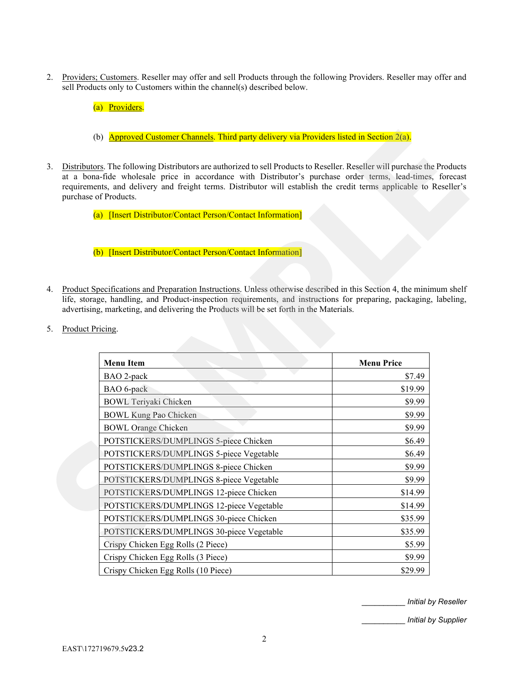- 2. Providers; Customers. Reseller may offer and sell Products through the following Providers. Reseller may offer and sell Products only to Customers within the channel(s) described below.
	- (a) Providers.
	- (b) **Approved Customer Channels**. Third party delivery via Providers listed in Section 2(a).
- 3. Distributors. The following Distributors are authorized to sell Products to Reseller. Reseller will purchase the Products at a bona-fide wholesale price in accordance with Distributor's purchase order terms, lead-times, forecast requirements, and delivery and freight terms. Distributor will establish the credit terms applicable to Reseller's purchase of Products.
	- (a) [Insert Distributor/Contact Person/Contact Information]

- 4. Product Specifications and Preparation Instructions. Unless otherwise described in this Section 4, the minimum shelf life, storage, handling, and Product-inspection requirements, and instructions for preparing, packaging, labeling, advertising, marketing, and delivering the Products will be set forth in the Materials.
- 5. Product Pricing.

|    | (b) Approved Customer Channels. Third party delivery via Providers listed in Section 2(a).                                                                                                                                                                                                                                                                                             |                   |  |
|----|----------------------------------------------------------------------------------------------------------------------------------------------------------------------------------------------------------------------------------------------------------------------------------------------------------------------------------------------------------------------------------------|-------------------|--|
| 3. | Distributors. The following Distributors are authorized to sell Products to Reseller. Reseller will purchase the Products<br>at a bona-fide wholesale price in accordance with Distributor's purchase order terms, lead-times, forecast<br>requirements, and delivery and freight terms. Distributor will establish the credit terms applicable to Reseller's<br>purchase of Products. |                   |  |
|    | (a) [Insert Distributor/Contact Person/Contact Information]                                                                                                                                                                                                                                                                                                                            |                   |  |
|    | (b) [Insert Distributor/Contact Person/Contact Information]                                                                                                                                                                                                                                                                                                                            |                   |  |
| 4. | Product Specifications and Preparation Instructions. Unless otherwise described in this Section 4, the minimum shelf<br>life, storage, handling, and Product-inspection requirements, and instructions for preparing, packaging, labeling,<br>advertising, marketing, and delivering the Products will be set forth in the Materials.                                                  |                   |  |
| 5. | Product Pricing.                                                                                                                                                                                                                                                                                                                                                                       |                   |  |
|    |                                                                                                                                                                                                                                                                                                                                                                                        |                   |  |
|    |                                                                                                                                                                                                                                                                                                                                                                                        |                   |  |
|    |                                                                                                                                                                                                                                                                                                                                                                                        |                   |  |
|    | <b>Menu Item</b>                                                                                                                                                                                                                                                                                                                                                                       | <b>Menu Price</b> |  |
|    | BAO 2-pack                                                                                                                                                                                                                                                                                                                                                                             | \$7.49            |  |
|    | BAO 6-pack                                                                                                                                                                                                                                                                                                                                                                             | \$19.99<br>\$9.99 |  |
|    | <b>BOWL</b> Teriyaki Chicken<br><b>BOWL Kung Pao Chicken</b>                                                                                                                                                                                                                                                                                                                           | \$9.99            |  |
|    | <b>BOWL Orange Chicken</b>                                                                                                                                                                                                                                                                                                                                                             | \$9.99            |  |
|    | POTSTICKERS/DUMPLINGS 5-piece Chicken                                                                                                                                                                                                                                                                                                                                                  | \$6.49            |  |
|    | POTSTICKERS/DUMPLINGS 5-piece Vegetable                                                                                                                                                                                                                                                                                                                                                | \$6.49            |  |
|    | POTSTICKERS/DUMPLINGS 8-piece Chicken                                                                                                                                                                                                                                                                                                                                                  | \$9.99            |  |
|    | POTSTICKERS/DUMPLINGS 8-piece Vegetable                                                                                                                                                                                                                                                                                                                                                | \$9.99            |  |
|    | POTSTICKERS/DUMPLINGS 12-piece Chicken                                                                                                                                                                                                                                                                                                                                                 | \$14.99           |  |
|    | POTSTICKERS/DUMPLINGS 12-piece Vegetable                                                                                                                                                                                                                                                                                                                                               | \$14.99           |  |
|    | POTSTICKERS/DUMPLINGS 30-piece Chicken                                                                                                                                                                                                                                                                                                                                                 | \$35.99           |  |
|    | POTSTICKERS/DUMPLINGS 30-piece Vegetable                                                                                                                                                                                                                                                                                                                                               | \$35.99           |  |
|    | Crispy Chicken Egg Rolls (2 Piece)                                                                                                                                                                                                                                                                                                                                                     | \$5.99            |  |
|    | Crispy Chicken Egg Rolls (3 Piece)                                                                                                                                                                                                                                                                                                                                                     | \$9.99            |  |

\_\_\_\_\_\_\_\_\_\_ *Initial by Reseller*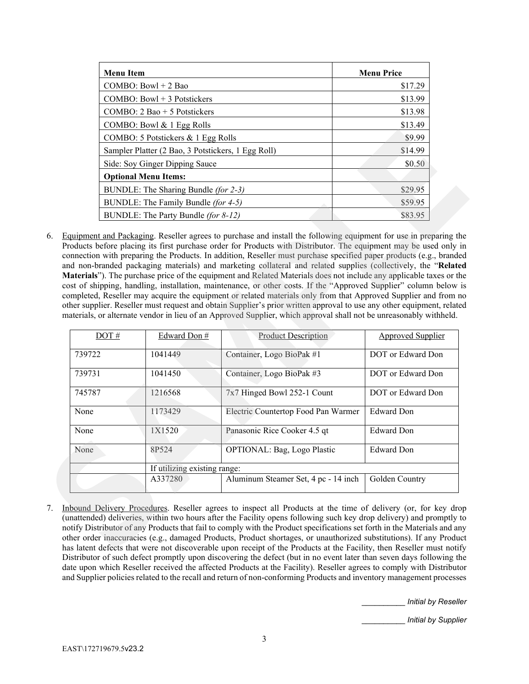| <b>Menu Item</b>                                   | <b>Menu Price</b> |
|----------------------------------------------------|-------------------|
| COMBO: Bowl $+ 2$ Bao                              | \$17.29           |
| COMBO: Bowl $+3$ Potstickers                       | \$13.99           |
| COMBO: $2$ Bao + 5 Potstickers                     | \$13.98           |
| COMBO: Bowl $& 1$ Egg Rolls                        | \$13.49           |
| COMBO: 5 Potstickers & 1 Egg Rolls                 | \$9.99            |
| Sampler Platter (2 Bao, 3 Potstickers, 1 Egg Roll) | \$14.99           |
| Side: Soy Ginger Dipping Sauce                     | \$0.50            |
| <b>Optional Menu Items:</b>                        |                   |
| BUNDLE: The Sharing Bundle (for 2-3)               | \$29.95           |
| BUNDLE: The Family Bundle <i>(for 4-5)</i>         | \$59.95           |
| BUNDLE: The Party Bundle <i>(for 8-12)</i>         | \$83.95           |

|                                                    | COMBO: 5 Potstickers & 1 Egg Rolls<br>Sampler Platter (2 Bao, 3 Potstickers, 1 Egg Roll) |                                                                                                                                                                                                                                                                                                                                                                                                                                                                                                                                                                                                                                                                                                                                                                                                                                                      | \$9.99<br>\$14.99        |  |
|----------------------------------------------------|------------------------------------------------------------------------------------------|------------------------------------------------------------------------------------------------------------------------------------------------------------------------------------------------------------------------------------------------------------------------------------------------------------------------------------------------------------------------------------------------------------------------------------------------------------------------------------------------------------------------------------------------------------------------------------------------------------------------------------------------------------------------------------------------------------------------------------------------------------------------------------------------------------------------------------------------------|--------------------------|--|
|                                                    |                                                                                          |                                                                                                                                                                                                                                                                                                                                                                                                                                                                                                                                                                                                                                                                                                                                                                                                                                                      | \$0.50                   |  |
|                                                    | Side: Soy Ginger Dipping Sauce                                                           |                                                                                                                                                                                                                                                                                                                                                                                                                                                                                                                                                                                                                                                                                                                                                                                                                                                      |                          |  |
|                                                    | <b>Optional Menu Items:</b>                                                              |                                                                                                                                                                                                                                                                                                                                                                                                                                                                                                                                                                                                                                                                                                                                                                                                                                                      |                          |  |
|                                                    | BUNDLE: The Sharing Bundle (for 2-3)                                                     |                                                                                                                                                                                                                                                                                                                                                                                                                                                                                                                                                                                                                                                                                                                                                                                                                                                      | \$29.95                  |  |
|                                                    | BUNDLE: The Family Bundle (for 4-5)                                                      |                                                                                                                                                                                                                                                                                                                                                                                                                                                                                                                                                                                                                                                                                                                                                                                                                                                      | \$59.95                  |  |
|                                                    | BUNDLE: The Party Bundle (for 8-12)                                                      |                                                                                                                                                                                                                                                                                                                                                                                                                                                                                                                                                                                                                                                                                                                                                                                                                                                      | \$83.95                  |  |
|                                                    |                                                                                          | connection with preparing the Products. In addition, Reseller must purchase specified paper products (e.g., branded<br>and non-branded packaging materials) and marketing collateral and related supplies (collectively, the "Related<br>Materials"). The purchase price of the equipment and Related Materials does not include any applicable taxes or the<br>cost of shipping, handling, installation, maintenance, or other costs. If the "Approved Supplier" column below is<br>completed, Reseller may acquire the equipment or related materials only from that Approved Supplier and from no<br>other supplier. Reseller must request and obtain Supplier's prior written approval to use any other equipment, related<br>materials, or alternate vendor in lieu of an Approved Supplier, which approval shall not be unreasonably withheld. |                          |  |
| DOT#                                               | Edward Don #                                                                             | <b>Product Description</b>                                                                                                                                                                                                                                                                                                                                                                                                                                                                                                                                                                                                                                                                                                                                                                                                                           | <b>Approved Supplier</b> |  |
|                                                    |                                                                                          |                                                                                                                                                                                                                                                                                                                                                                                                                                                                                                                                                                                                                                                                                                                                                                                                                                                      |                          |  |
|                                                    | 1041449                                                                                  | Container, Logo BioPak #1                                                                                                                                                                                                                                                                                                                                                                                                                                                                                                                                                                                                                                                                                                                                                                                                                            | DOT or Edward Don        |  |
|                                                    | 1041450                                                                                  | Container, Logo BioPak #3                                                                                                                                                                                                                                                                                                                                                                                                                                                                                                                                                                                                                                                                                                                                                                                                                            | DOT or Edward Don        |  |
|                                                    | 1216568                                                                                  | 7x7 Hinged Bowl 252-1 Count                                                                                                                                                                                                                                                                                                                                                                                                                                                                                                                                                                                                                                                                                                                                                                                                                          | DOT or Edward Don        |  |
|                                                    | 1173429                                                                                  | Electric Countertop Food Pan Warmer                                                                                                                                                                                                                                                                                                                                                                                                                                                                                                                                                                                                                                                                                                                                                                                                                  | <b>Edward Don</b>        |  |
|                                                    | 1X1520                                                                                   | Panasonic Rice Cooker 4.5 qt                                                                                                                                                                                                                                                                                                                                                                                                                                                                                                                                                                                                                                                                                                                                                                                                                         | <b>Edward Don</b>        |  |
|                                                    | 8P524                                                                                    | OPTIONAL: Bag, Logo Plastic                                                                                                                                                                                                                                                                                                                                                                                                                                                                                                                                                                                                                                                                                                                                                                                                                          | <b>Edward Don</b>        |  |
| 739722<br>739731<br>745787<br>None<br>None<br>None | If utilizing existing range:                                                             |                                                                                                                                                                                                                                                                                                                                                                                                                                                                                                                                                                                                                                                                                                                                                                                                                                                      |                          |  |
|                                                    | A337280                                                                                  | Aluminum Steamer Set, 4 pc - 14 inch                                                                                                                                                                                                                                                                                                                                                                                                                                                                                                                                                                                                                                                                                                                                                                                                                 | Golden Country           |  |

7. Inbound Delivery Procedures. Reseller agrees to inspect all Products at the time of delivery (or, for key drop (unattended) deliveries, within two hours after the Facility opens following such key drop delivery) and promptly to notify Distributor of any Products that fail to comply with the Product specifications set forth in the Materials and any other order inaccuracies (e.g., damaged Products, Product shortages, or unauthorized substitutions). If any Product has latent defects that were not discoverable upon receipt of the Products at the Facility, then Reseller must notify Distributor of such defect promptly upon discovering the defect (but in no event later than seven days following the date upon which Reseller received the affected Products at the Facility). Reseller agrees to comply with Distributor and Supplier policies related to the recall and return of non-conforming Products and inventory management processes

\_\_\_\_\_\_\_\_\_\_ *Initial by Reseller*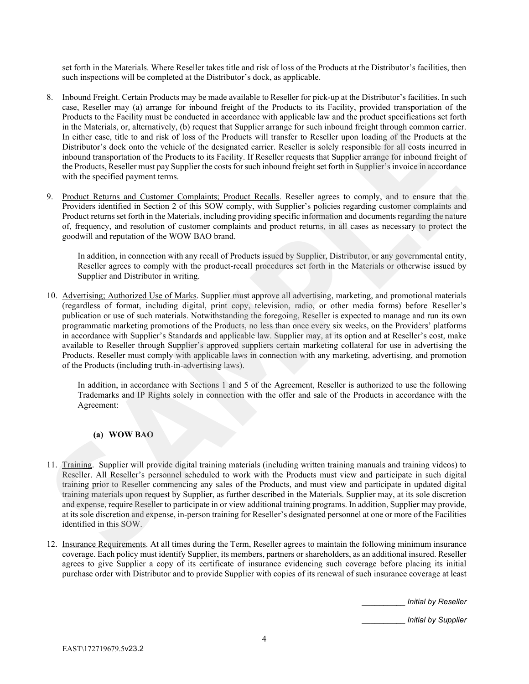set forth in the Materials. Where Reseller takes title and risk of loss of the Products at the Distributor's facilities, then such inspections will be completed at the Distributor's dock, as applicable.

- 8. Inbound Freight. Certain Products may be made available to Reseller for pick-up at the Distributor's facilities. In such case, Reseller may (a) arrange for inbound freight of the Products to its Facility, provided transportation of the Products to the Facility must be conducted in accordance with applicable law and the product specifications set forth in the Materials, or, alternatively, (b) request that Supplier arrange for such inbound freight through common carrier. In either case, title to and risk of loss of the Products will transfer to Reseller upon loading of the Products at the Distributor's dock onto the vehicle of the designated carrier. Reseller is solely responsible for all costs incurred in inbound transportation of the Products to its Facility. If Reseller requests that Supplier arrange for inbound freight of the Products, Reseller must pay Supplier the costs for such inbound freight set forth in Supplier's invoice in accordance with the specified payment terms.
- 9. Product Returns and Customer Complaints; Product Recalls. Reseller agrees to comply, and to ensure that the Providers identified in Section 2 of this SOW comply, with Supplier's policies regarding customer complaints and Product returns set forth in the Materials, including providing specific information and documents regarding the nature of, frequency, and resolution of customer complaints and product returns, in all cases as necessary to protect the goodwill and reputation of the WOW BAO brand.

In addition, in connection with any recall of Products issued by Supplier, Distributor, or any governmental entity, Reseller agrees to comply with the product-recall procedures set forth in the Materials or otherwise issued by Supplier and Distributor in writing.

10. Advertising; Authorized Use of Marks. Supplier must approve all advertising, marketing, and promotional materials (regardless of format, including digital, print copy, television, radio, or other media forms) before Reseller's publication or use of such materials. Notwithstanding the foregoing, Reseller is expected to manage and run its own programmatic marketing promotions of the Products, no less than once every six weeks, on the Providers' platforms in accordance with Supplier's Standards and applicable law. Supplier may, at its option and at Reseller's cost, make available to Reseller through Supplier's approved suppliers certain marketing collateral for use in advertising the Products. Reseller must comply with applicable laws in connection with any marketing, advertising, and promotion of the Products (including truth-in-advertising laws). in the Materials, or allemantively, (b) requires that Supplier are night for anothin both through for the Poissics of the Products will transfer to Reseller upon loading of the Products at the including to the case. Hele t

In addition, in accordance with Sections 1 and 5 of the Agreement, Reseller is authorized to use the following Trademarks and IP Rights solely in connection with the offer and sale of the Products in accordance with the Agreement:

# **(a) WOW BAO**

- 11. Training. Supplier will provide digital training materials (including written training manuals and training videos) to Reseller. All Reseller's personnel scheduled to work with the Products must view and participate in such digital training prior to Reseller commencing any sales of the Products, and must view and participate in updated digital training materials upon request by Supplier, as further described in the Materials. Supplier may, at its sole discretion and expense, require Reseller to participate in or view additional training programs. In addition, Supplier may provide, at its sole discretion and expense, in-person training for Reseller's designated personnel at one or more of the Facilities identified in this SOW.
- 12. Insurance Requirements. At all times during the Term, Reseller agrees to maintain the following minimum insurance coverage. Each policy must identify Supplier, its members, partners or shareholders, as an additional insured. Reseller agrees to give Supplier a copy of its certificate of insurance evidencing such coverage before placing its initial purchase order with Distributor and to provide Supplier with copies of its renewal of such insurance coverage at least

\_\_\_\_\_\_\_\_\_\_ *Initial by Reseller*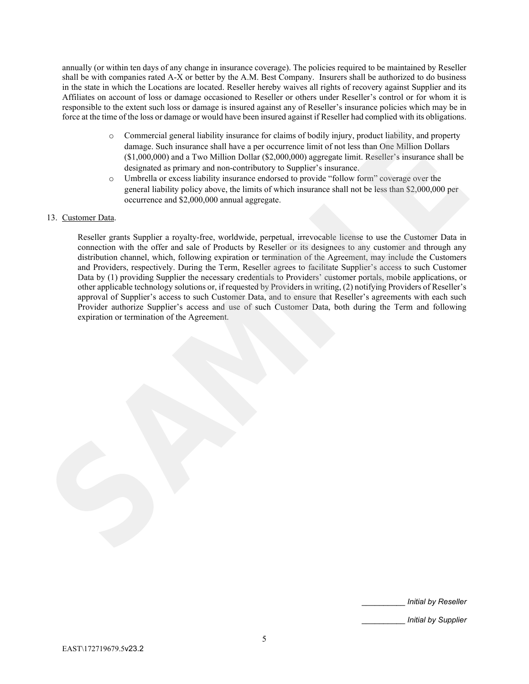annually (or within ten days of any change in insurance coverage). The policies required to be maintained by Reseller shall be with companies rated A-X or better by the A.M. Best Company. Insurers shall be authorized to do business in the state in which the Locations are located. Reseller hereby waives all rights of recovery against Supplier and its Affiliates on account of loss or damage occasioned to Reseller or others under Reseller's control or for whom it is responsible to the extent such loss or damage is insured against any of Reseller's insurance policies which may be in force at the time of the loss or damage or would have been insured against if Reseller had complied with its obligations.

- o Commercial general liability insurance for claims of bodily injury, product liability, and property damage. Such insurance shall have a per occurrence limit of not less than One Million Dollars (\$1,000,000) and a Two Million Dollar (\$2,000,000) aggregate limit. Reseller's insurance shall be designated as primary and non-contributory to Supplier's insurance.
- o Umbrella or excess liability insurance endorsed to provide "follow form" coverage over the general liability policy above, the limits of which insurance shall not be less than \$2,000,000 per occurrence and \$2,000,000 annual aggregate.

# 13. Customer Data.

Reseller grants Supplier a royalty-free, worldwide, perpetual, irrevocable license to use the Customer Data in connection with the offer and sale of Products by Reseller or its designees to any customer and through any distribution channel, which, following expiration or termination of the Agreement, may include the Customers and Providers, respectively. During the Term, Reseller agrees to facilitate Supplier's access to such Customer Data by (1) providing Supplier the necessary credentials to Providers' customer portals, mobile applications, or other applicable technology solutions or, if requested by Providers in writing, (2) notifying Providers of Reseller's approval of Supplier's access to such Customer Data, and to ensure that Reseller's agreements with each such Provider authorize Supplier's access and use of such Customer Data, both during the Term and following expiration or termination of the Agreement. Commercial general listishity insurance for claims of bodily injury, product listishity, and property<br>
damage. Sash insurance shall have a pre-occurrence limit of rock cash one Million Dollars<br>
(31,009,000) unst a Two Mill

\_\_\_\_\_\_\_\_\_\_ *Initial by Reseller*